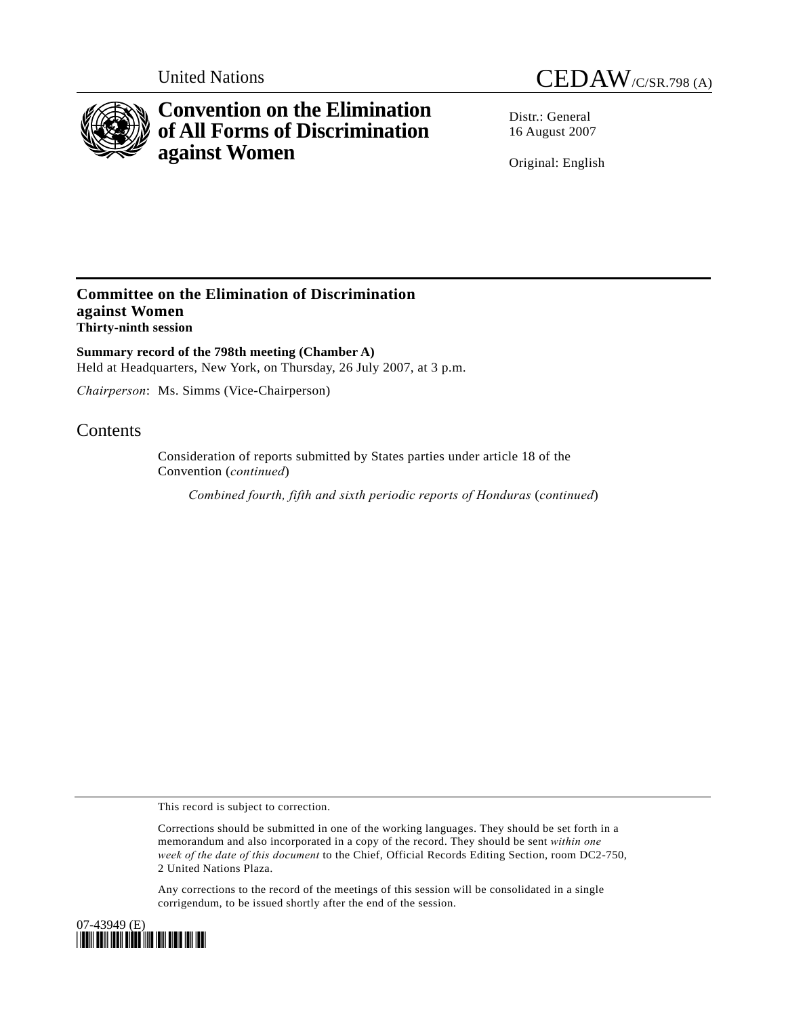

# **Convention on the Elimination of All Forms of Discrimination against Women**

United Nations CEDAW/C/SR.798 (A)

Distr · General 16 August 2007

Original: English

### **Committee on the Elimination of Discrimination against Women Thirty-ninth session**

**Summary record of the 798th meeting (Chamber A)**  Held at Headquarters, New York, on Thursday, 26 July 2007, at 3 p.m.

*Chairperson*: Ms. Simms (Vice-Chairperson)

## **Contents**

Consideration of reports submitted by States parties under article 18 of the Convention (*continued*)

*Combined fourth, fifth and sixth periodic reports of Honduras* (*continued*)

This record is subject to correction.

Corrections should be submitted in one of the working languages. They should be set forth in a memorandum and also incorporated in a copy of the record. They should be sent *within one week of the date of this document* to the Chief, Official Records Editing Section, room DC2-750, 2 United Nations Plaza.

Any corrections to the record of the meetings of this session will be consolidated in a single corrigendum, to be issued shortly after the end of the session.

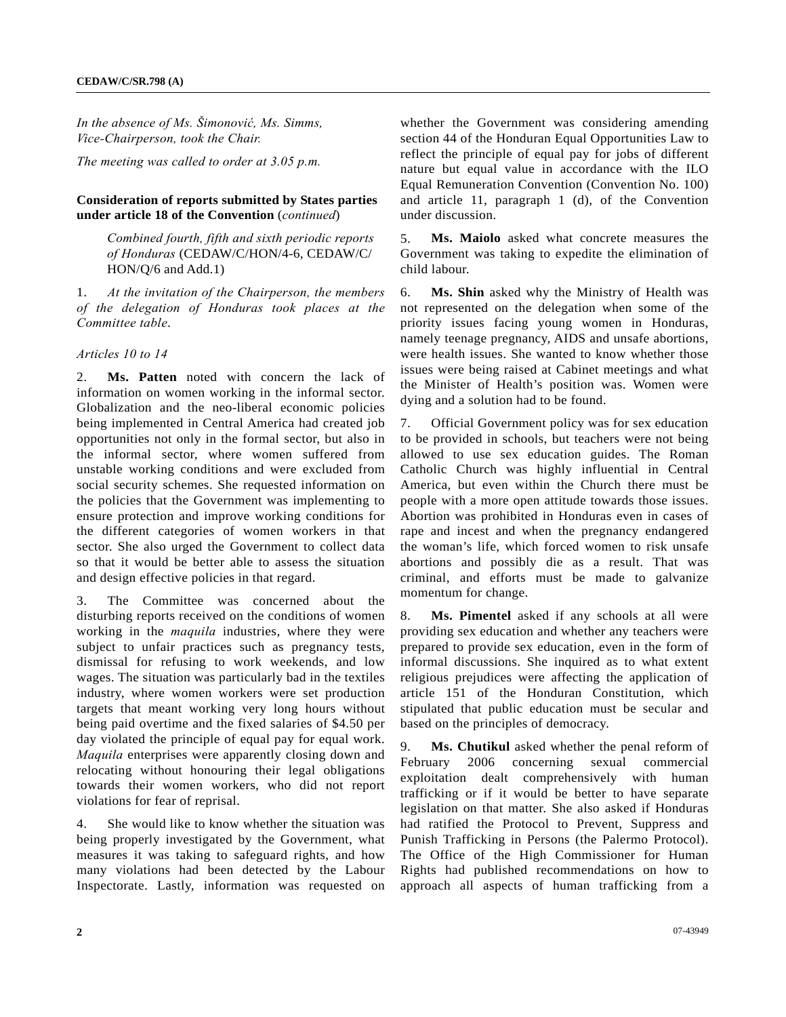*In the absence of Ms. Šimonović, Ms. Simms, Vice-Chairperson, took the Chair.* 

*The meeting was called to order at 3.05 p.m.* 

#### **Consideration of reports submitted by States parties under article 18 of the Convention** (*continued*)

 *Combined fourth, fifth and sixth periodic reports of Honduras* (CEDAW/C/HON/4-6, CEDAW/C/ HON/Q/6 and Add.1)

1. *At the invitation of the Chairperson, the members of the delegation of Honduras took places at the Committee table*.

*Articles 10 to 14* 

2. **Ms. Patten** noted with concern the lack of information on women working in the informal sector. Globalization and the neo-liberal economic policies being implemented in Central America had created job opportunities not only in the formal sector, but also in the informal sector, where women suffered from unstable working conditions and were excluded from social security schemes. She requested information on the policies that the Government was implementing to ensure protection and improve working conditions for the different categories of women workers in that sector. She also urged the Government to collect data so that it would be better able to assess the situation and design effective policies in that regard.

3. The Committee was concerned about the disturbing reports received on the conditions of women working in the *maquila* industries, where they were subject to unfair practices such as pregnancy tests, dismissal for refusing to work weekends, and low wages. The situation was particularly bad in the textiles industry, where women workers were set production targets that meant working very long hours without being paid overtime and the fixed salaries of \$4.50 per day violated the principle of equal pay for equal work. *Maquila* enterprises were apparently closing down and relocating without honouring their legal obligations towards their women workers, who did not report violations for fear of reprisal.

4. She would like to know whether the situation was being properly investigated by the Government, what measures it was taking to safeguard rights, and how many violations had been detected by the Labour Inspectorate. Lastly, information was requested on whether the Government was considering amending section 44 of the Honduran Equal Opportunities Law to reflect the principle of equal pay for jobs of different nature but equal value in accordance with the ILO Equal Remuneration Convention (Convention No. 100) and article 11, paragraph 1 (d), of the Convention under discussion.

5. **Ms. Maiolo** asked what concrete measures the Government was taking to expedite the elimination of child labour.

6. **Ms. Shin** asked why the Ministry of Health was not represented on the delegation when some of the priority issues facing young women in Honduras, namely teenage pregnancy, AIDS and unsafe abortions, were health issues. She wanted to know whether those issues were being raised at Cabinet meetings and what the Minister of Health's position was. Women were dying and a solution had to be found.

7. Official Government policy was for sex education to be provided in schools, but teachers were not being allowed to use sex education guides. The Roman Catholic Church was highly influential in Central America, but even within the Church there must be people with a more open attitude towards those issues. Abortion was prohibited in Honduras even in cases of rape and incest and when the pregnancy endangered the woman's life, which forced women to risk unsafe abortions and possibly die as a result. That was criminal, and efforts must be made to galvanize momentum for change.

8. **Ms. Pimentel** asked if any schools at all were providing sex education and whether any teachers were prepared to provide sex education, even in the form of informal discussions. She inquired as to what extent religious prejudices were affecting the application of article 151 of the Honduran Constitution, which stipulated that public education must be secular and based on the principles of democracy.

9. **Ms. Chutikul** asked whether the penal reform of February 2006 concerning sexual commercial exploitation dealt comprehensively with human trafficking or if it would be better to have separate legislation on that matter. She also asked if Honduras had ratified the Protocol to Prevent, Suppress and Punish Trafficking in Persons (the Palermo Protocol). The Office of the High Commissioner for Human Rights had published recommendations on how to approach all aspects of human trafficking from a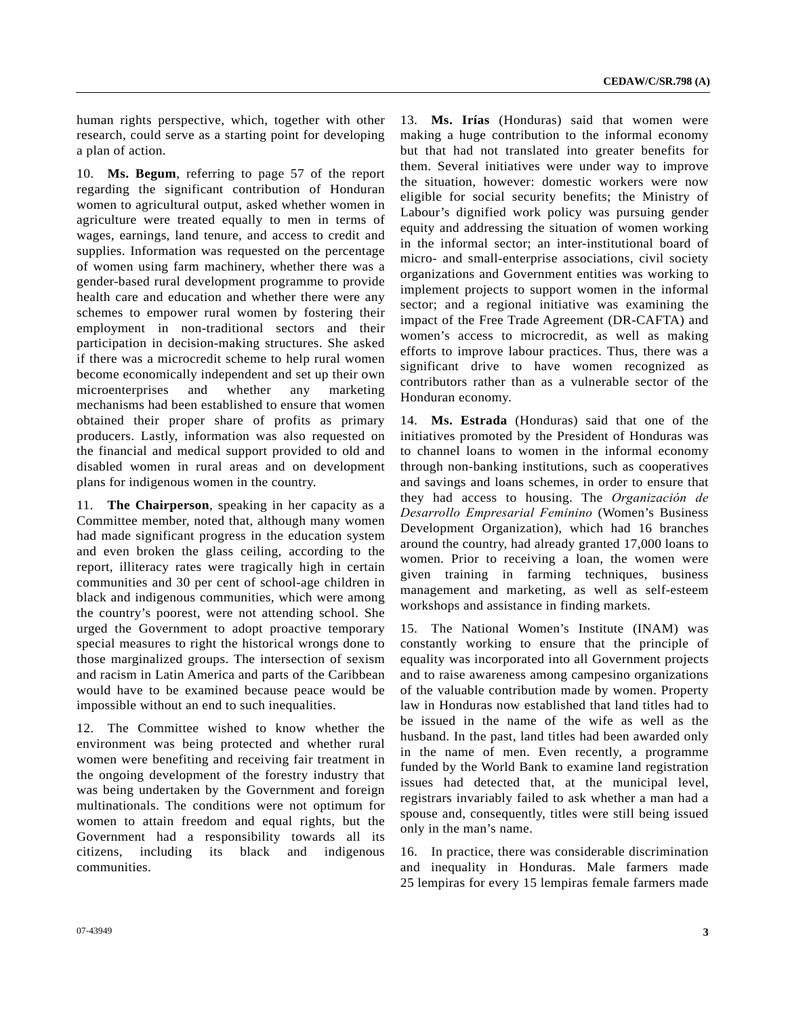human rights perspective, which, together with other research, could serve as a starting point for developing a plan of action.

10. **Ms. Begum**, referring to page 57 of the report regarding the significant contribution of Honduran women to agricultural output, asked whether women in agriculture were treated equally to men in terms of wages, earnings, land tenure, and access to credit and supplies. Information was requested on the percentage of women using farm machinery, whether there was a gender-based rural development programme to provide health care and education and whether there were any schemes to empower rural women by fostering their employment in non-traditional sectors and their participation in decision-making structures. She asked if there was a microcredit scheme to help rural women become economically independent and set up their own microenterprises and whether any marketing mechanisms had been established to ensure that women obtained their proper share of profits as primary producers. Lastly, information was also requested on the financial and medical support provided to old and disabled women in rural areas and on development plans for indigenous women in the country.

11. **The Chairperson**, speaking in her capacity as a Committee member, noted that, although many women had made significant progress in the education system and even broken the glass ceiling, according to the report, illiteracy rates were tragically high in certain communities and 30 per cent of school-age children in black and indigenous communities, which were among the country's poorest, were not attending school. She urged the Government to adopt proactive temporary special measures to right the historical wrongs done to those marginalized groups. The intersection of sexism and racism in Latin America and parts of the Caribbean would have to be examined because peace would be impossible without an end to such inequalities.

12. The Committee wished to know whether the environment was being protected and whether rural women were benefiting and receiving fair treatment in the ongoing development of the forestry industry that was being undertaken by the Government and foreign multinationals. The conditions were not optimum for women to attain freedom and equal rights, but the Government had a responsibility towards all its citizens, including its black and indigenous communities.

13. **Ms. Irías** (Honduras) said that women were making a huge contribution to the informal economy but that had not translated into greater benefits for them. Several initiatives were under way to improve the situation, however: domestic workers were now eligible for social security benefits; the Ministry of Labour's dignified work policy was pursuing gender equity and addressing the situation of women working in the informal sector; an inter-institutional board of micro- and small-enterprise associations, civil society organizations and Government entities was working to implement projects to support women in the informal sector; and a regional initiative was examining the impact of the Free Trade Agreement (DR-CAFTA) and women's access to microcredit, as well as making efforts to improve labour practices. Thus, there was a significant drive to have women recognized as contributors rather than as a vulnerable sector of the Honduran economy.

14. **Ms. Estrada** (Honduras) said that one of the initiatives promoted by the President of Honduras was to channel loans to women in the informal economy through non-banking institutions, such as cooperatives and savings and loans schemes, in order to ensure that they had access to housing. The *Organización de Desarrollo Empresarial Feminino* (Women's Business Development Organization), which had 16 branches around the country, had already granted 17,000 loans to women. Prior to receiving a loan, the women were given training in farming techniques, business management and marketing, as well as self-esteem workshops and assistance in finding markets.

15. The National Women's Institute (INAM) was constantly working to ensure that the principle of equality was incorporated into all Government projects and to raise awareness among campesino organizations of the valuable contribution made by women. Property law in Honduras now established that land titles had to be issued in the name of the wife as well as the husband. In the past, land titles had been awarded only in the name of men. Even recently, a programme funded by the World Bank to examine land registration issues had detected that, at the municipal level, registrars invariably failed to ask whether a man had a spouse and, consequently, titles were still being issued only in the man's name.

16. In practice, there was considerable discrimination and inequality in Honduras. Male farmers made 25 lempiras for every 15 lempiras female farmers made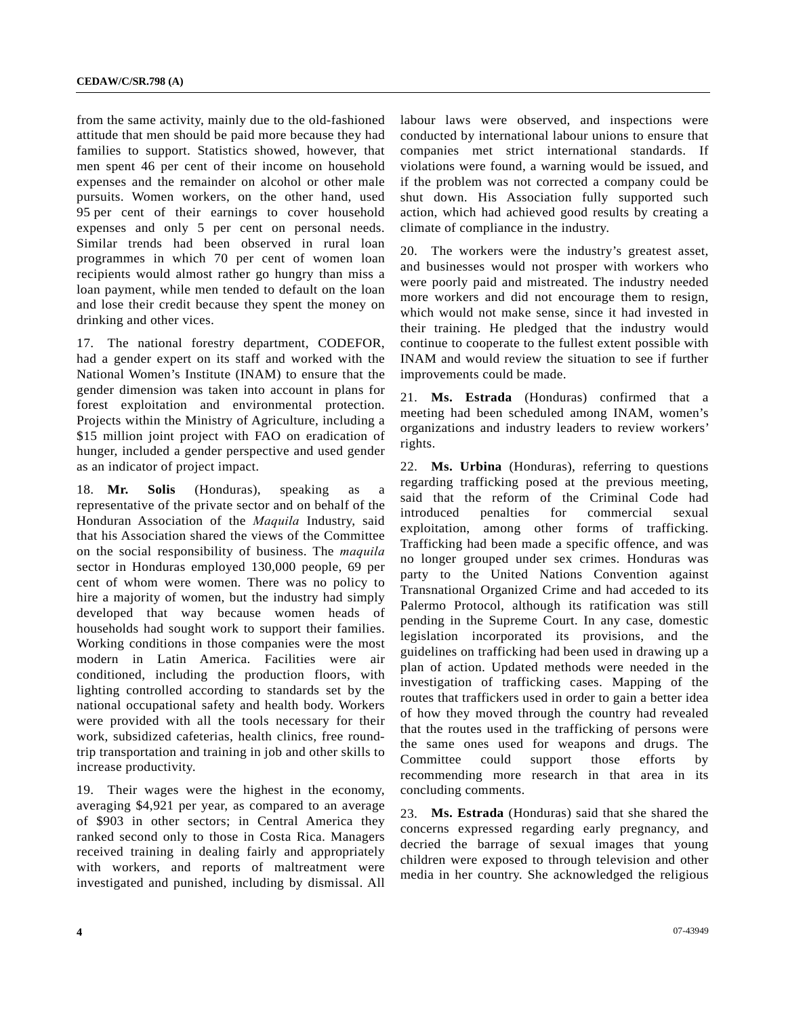from the same activity, mainly due to the old-fashioned attitude that men should be paid more because they had families to support. Statistics showed, however, that men spent 46 per cent of their income on household expenses and the remainder on alcohol or other male pursuits. Women workers, on the other hand, used 95 per cent of their earnings to cover household expenses and only 5 per cent on personal needs. Similar trends had been observed in rural loan programmes in which 70 per cent of women loan recipients would almost rather go hungry than miss a loan payment, while men tended to default on the loan and lose their credit because they spent the money on drinking and other vices.

17. The national forestry department, CODEFOR, had a gender expert on its staff and worked with the National Women's Institute (INAM) to ensure that the gender dimension was taken into account in plans for forest exploitation and environmental protection. Projects within the Ministry of Agriculture, including a \$15 million joint project with FAO on eradication of hunger, included a gender perspective and used gender as an indicator of project impact.

18. **Mr. Solis** (Honduras), speaking as a representative of the private sector and on behalf of the Honduran Association of the *Maquila* Industry, said that his Association shared the views of the Committee on the social responsibility of business. The *maquila* sector in Honduras employed 130,000 people, 69 per cent of whom were women. There was no policy to hire a majority of women, but the industry had simply developed that way because women heads of households had sought work to support their families. Working conditions in those companies were the most modern in Latin America. Facilities were air conditioned, including the production floors, with lighting controlled according to standards set by the national occupational safety and health body. Workers were provided with all the tools necessary for their work, subsidized cafeterias, health clinics, free roundtrip transportation and training in job and other skills to increase productivity.

19. Their wages were the highest in the economy, averaging \$4,921 per year, as compared to an average of \$903 in other sectors; in Central America they ranked second only to those in Costa Rica. Managers received training in dealing fairly and appropriately with workers, and reports of maltreatment were investigated and punished, including by dismissal. All labour laws were observed, and inspections were conducted by international labour unions to ensure that companies met strict international standards. If violations were found, a warning would be issued, and if the problem was not corrected a company could be shut down. His Association fully supported such action, which had achieved good results by creating a climate of compliance in the industry.

20. The workers were the industry's greatest asset, and businesses would not prosper with workers who were poorly paid and mistreated. The industry needed more workers and did not encourage them to resign, which would not make sense, since it had invested in their training. He pledged that the industry would continue to cooperate to the fullest extent possible with INAM and would review the situation to see if further improvements could be made.

21. **Ms. Estrada** (Honduras) confirmed that a meeting had been scheduled among INAM, women's organizations and industry leaders to review workers' rights.

22. **Ms. Urbina** (Honduras), referring to questions regarding trafficking posed at the previous meeting, said that the reform of the Criminal Code had introduced penalties for commercial sexual exploitation, among other forms of trafficking. Trafficking had been made a specific offence, and was no longer grouped under sex crimes. Honduras was party to the United Nations Convention against Transnational Organized Crime and had acceded to its Palermo Protocol, although its ratification was still pending in the Supreme Court. In any case, domestic legislation incorporated its provisions, and the guidelines on trafficking had been used in drawing up a plan of action. Updated methods were needed in the investigation of trafficking cases. Mapping of the routes that traffickers used in order to gain a better idea of how they moved through the country had revealed that the routes used in the trafficking of persons were the same ones used for weapons and drugs. The Committee could support those efforts by recommending more research in that area in its concluding comments.

23. **Ms. Estrada** (Honduras) said that she shared the concerns expressed regarding early pregnancy, and decried the barrage of sexual images that young children were exposed to through television and other media in her country. She acknowledged the religious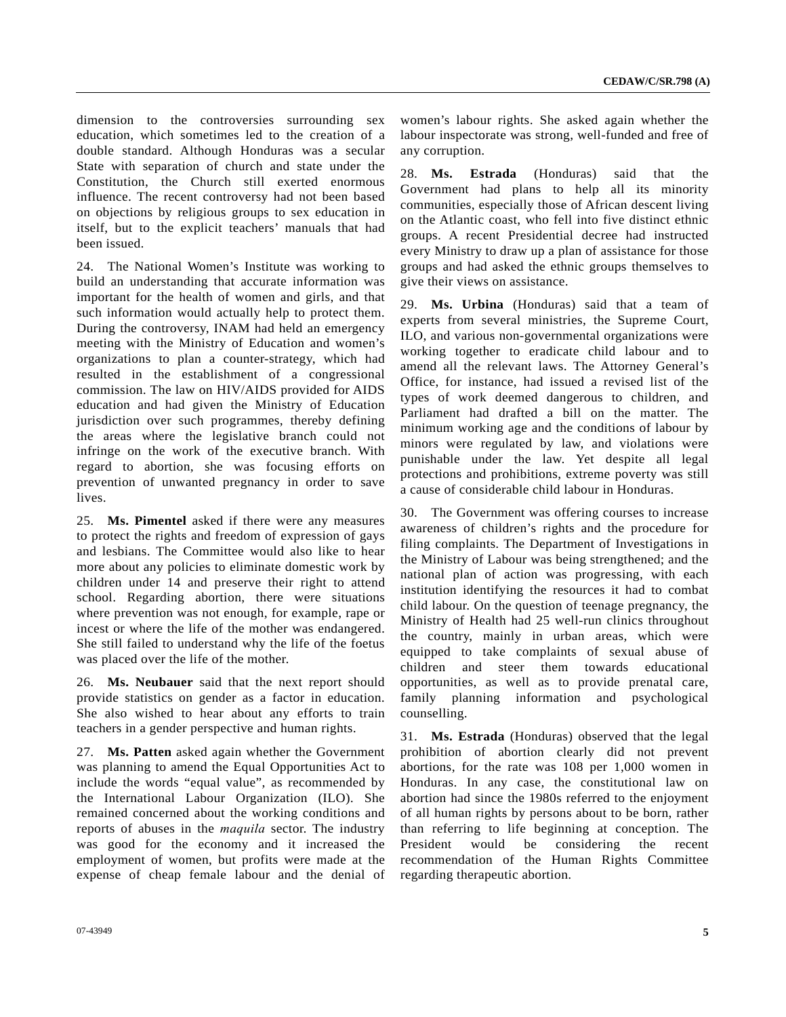dimension to the controversies surrounding sex education, which sometimes led to the creation of a double standard. Although Honduras was a secular State with separation of church and state under the Constitution, the Church still exerted enormous influence. The recent controversy had not been based on objections by religious groups to sex education in itself, but to the explicit teachers' manuals that had been issued.

24. The National Women's Institute was working to build an understanding that accurate information was important for the health of women and girls, and that such information would actually help to protect them. During the controversy, INAM had held an emergency meeting with the Ministry of Education and women's organizations to plan a counter-strategy, which had resulted in the establishment of a congressional commission. The law on HIV/AIDS provided for AIDS education and had given the Ministry of Education jurisdiction over such programmes, thereby defining the areas where the legislative branch could not infringe on the work of the executive branch. With regard to abortion, she was focusing efforts on prevention of unwanted pregnancy in order to save lives.

25. **Ms. Pimentel** asked if there were any measures to protect the rights and freedom of expression of gays and lesbians. The Committee would also like to hear more about any policies to eliminate domestic work by children under 14 and preserve their right to attend school. Regarding abortion, there were situations where prevention was not enough, for example, rape or incest or where the life of the mother was endangered. She still failed to understand why the life of the foetus was placed over the life of the mother.

26. **Ms. Neubauer** said that the next report should provide statistics on gender as a factor in education. She also wished to hear about any efforts to train teachers in a gender perspective and human rights.

27. **Ms. Patten** asked again whether the Government was planning to amend the Equal Opportunities Act to include the words "equal value", as recommended by the International Labour Organization (ILO). She remained concerned about the working conditions and reports of abuses in the *maquila* sector. The industry was good for the economy and it increased the employment of women, but profits were made at the expense of cheap female labour and the denial of women's labour rights. She asked again whether the labour inspectorate was strong, well-funded and free of any corruption.

28. **Ms. Estrada** (Honduras) said that the Government had plans to help all its minority communities, especially those of African descent living on the Atlantic coast, who fell into five distinct ethnic groups. A recent Presidential decree had instructed every Ministry to draw up a plan of assistance for those groups and had asked the ethnic groups themselves to give their views on assistance.

29. **Ms. Urbina** (Honduras) said that a team of experts from several ministries, the Supreme Court, ILO, and various non-governmental organizations were working together to eradicate child labour and to amend all the relevant laws. The Attorney General's Office, for instance, had issued a revised list of the types of work deemed dangerous to children, and Parliament had drafted a bill on the matter. The minimum working age and the conditions of labour by minors were regulated by law, and violations were punishable under the law. Yet despite all legal protections and prohibitions, extreme poverty was still a cause of considerable child labour in Honduras.

30. The Government was offering courses to increase awareness of children's rights and the procedure for filing complaints. The Department of Investigations in the Ministry of Labour was being strengthened; and the national plan of action was progressing, with each institution identifying the resources it had to combat child labour. On the question of teenage pregnancy, the Ministry of Health had 25 well-run clinics throughout the country, mainly in urban areas, which were equipped to take complaints of sexual abuse of children and steer them towards educational opportunities, as well as to provide prenatal care, family planning information and psychological counselling.

31. **Ms. Estrada** (Honduras) observed that the legal prohibition of abortion clearly did not prevent abortions, for the rate was 108 per 1,000 women in Honduras. In any case, the constitutional law on abortion had since the 1980s referred to the enjoyment of all human rights by persons about to be born, rather than referring to life beginning at conception. The President would be considering the recent recommendation of the Human Rights Committee regarding therapeutic abortion.